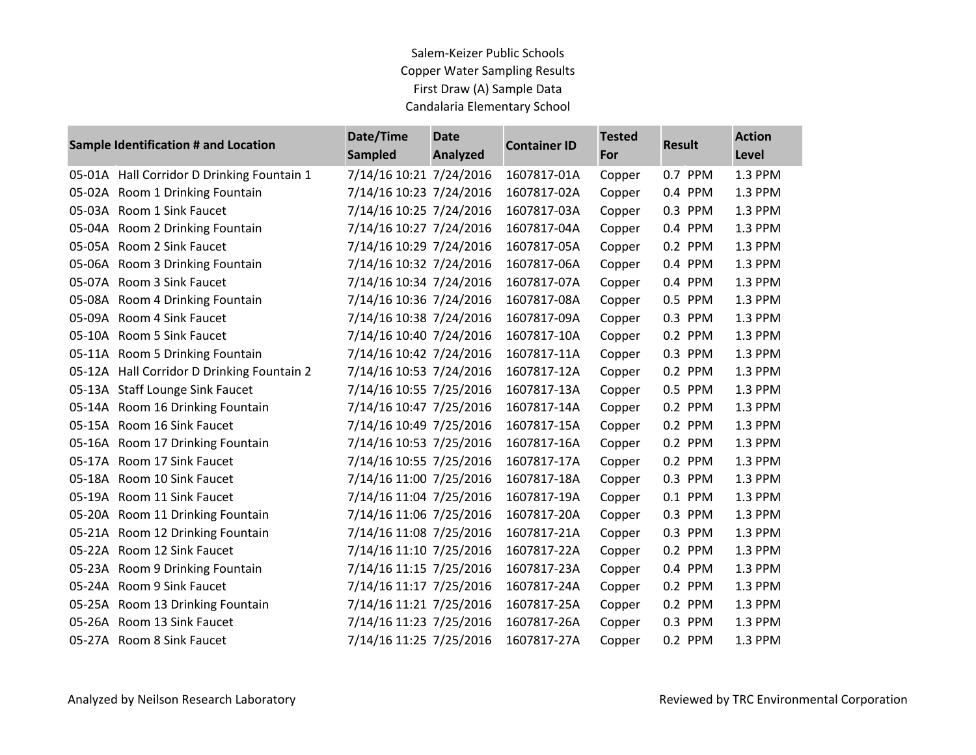## Salem‐Keizer Public Schools Copper Water Sampling Results First Draw (A) Sample Data Candalaria Elementary School

| <b>Sample Identification # and Location</b> |                                            | Date/Time<br><b>Sampled</b> | <b>Date</b><br><b>Analyzed</b> | <b>Container ID</b> | <b>Tested</b><br>For | <b>Result</b> | <b>Action</b> |
|---------------------------------------------|--------------------------------------------|-----------------------------|--------------------------------|---------------------|----------------------|---------------|---------------|
|                                             |                                            |                             |                                |                     |                      |               | Level         |
| 05-01A                                      | Hall Corridor D Drinking Fountain 1        | 7/14/16 10:21 7/24/2016     |                                | 1607817-01A         | Copper               | 0.7 PPM       | 1.3 PPM       |
|                                             | 05-02A Room 1 Drinking Fountain            | 7/14/16 10:23 7/24/2016     |                                | 1607817-02A         | Copper               | 0.4 PPM       | 1.3 PPM       |
|                                             | 05-03A Room 1 Sink Faucet                  | 7/14/16 10:25 7/24/2016     |                                | 1607817-03A         | Copper               | 0.3 PPM       | 1.3 PPM       |
|                                             | 05-04A Room 2 Drinking Fountain            | 7/14/16 10:27 7/24/2016     |                                | 1607817-04A         | Copper               | 0.4 PPM       | 1.3 PPM       |
|                                             | 05-05A Room 2 Sink Faucet                  | 7/14/16 10:29 7/24/2016     |                                | 1607817-05A         | Copper               | 0.2 PPM       | 1.3 PPM       |
|                                             | 05-06A Room 3 Drinking Fountain            | 7/14/16 10:32 7/24/2016     |                                | 1607817-06A         | Copper               | 0.4 PPM       | 1.3 PPM       |
|                                             | 05-07A Room 3 Sink Faucet                  | 7/14/16 10:34 7/24/2016     |                                | 1607817-07A         | Copper               | 0.4 PPM       | 1.3 PPM       |
|                                             | 05-08A Room 4 Drinking Fountain            | 7/14/16 10:36 7/24/2016     |                                | 1607817-08A         | Copper               | 0.5 PPM       | 1.3 PPM       |
|                                             | 05-09A Room 4 Sink Faucet                  | 7/14/16 10:38 7/24/2016     |                                | 1607817-09A         | Copper               | 0.3 PPM       | 1.3 PPM       |
|                                             | 05-10A Room 5 Sink Faucet                  | 7/14/16 10:40 7/24/2016     |                                | 1607817-10A         | Copper               | 0.2 PPM       | 1.3 PPM       |
|                                             | 05-11A Room 5 Drinking Fountain            | 7/14/16 10:42 7/24/2016     |                                | 1607817-11A         | Copper               | 0.3 PPM       | 1.3 PPM       |
|                                             | 05-12A Hall Corridor D Drinking Fountain 2 | 7/14/16 10:53 7/24/2016     |                                | 1607817-12A         | Copper               | 0.2 PPM       | 1.3 PPM       |
|                                             | 05-13A Staff Lounge Sink Faucet            | 7/14/16 10:55 7/25/2016     |                                | 1607817-13A         | Copper               | 0.5 PPM       | 1.3 PPM       |
|                                             | 05-14A Room 16 Drinking Fountain           | 7/14/16 10:47 7/25/2016     |                                | 1607817-14A         | Copper               | 0.2 PPM       | 1.3 PPM       |
|                                             | 05-15A Room 16 Sink Faucet                 | 7/14/16 10:49 7/25/2016     |                                | 1607817-15A         | Copper               | 0.2 PPM       | 1.3 PPM       |
|                                             | 05-16A Room 17 Drinking Fountain           | 7/14/16 10:53 7/25/2016     |                                | 1607817-16A         | Copper               | 0.2 PPM       | 1.3 PPM       |
|                                             | 05-17A Room 17 Sink Faucet                 | 7/14/16 10:55 7/25/2016     |                                | 1607817-17A         | Copper               | 0.2 PPM       | 1.3 PPM       |
|                                             | 05-18A Room 10 Sink Faucet                 | 7/14/16 11:00 7/25/2016     |                                | 1607817-18A         | Copper               | 0.3 PPM       | 1.3 PPM       |
|                                             | 05-19A Room 11 Sink Faucet                 | 7/14/16 11:04 7/25/2016     |                                | 1607817-19A         | Copper               | 0.1 PPM       | 1.3 PPM       |
|                                             | 05-20A Room 11 Drinking Fountain           | 7/14/16 11:06 7/25/2016     |                                | 1607817-20A         | Copper               | 0.3 PPM       | 1.3 PPM       |
|                                             | 05-21A Room 12 Drinking Fountain           | 7/14/16 11:08 7/25/2016     |                                | 1607817-21A         | Copper               | 0.3 PPM       | 1.3 PPM       |
|                                             | 05-22A Room 12 Sink Faucet                 | 7/14/16 11:10 7/25/2016     |                                | 1607817-22A         | Copper               | 0.2 PPM       | 1.3 PPM       |
|                                             | 05-23A Room 9 Drinking Fountain            | 7/14/16 11:15 7/25/2016     |                                | 1607817-23A         | Copper               | 0.4 PPM       | 1.3 PPM       |
|                                             | 05-24A Room 9 Sink Faucet                  | 7/14/16 11:17 7/25/2016     |                                | 1607817-24A         | Copper               | 0.2 PPM       | 1.3 PPM       |
|                                             | 05-25A Room 13 Drinking Fountain           | 7/14/16 11:21 7/25/2016     |                                | 1607817-25A         | Copper               | 0.2 PPM       | 1.3 PPM       |
|                                             | 05-26A Room 13 Sink Faucet                 | 7/14/16 11:23 7/25/2016     |                                | 1607817-26A         | Copper               | 0.3 PPM       | 1.3 PPM       |
|                                             | 05-27A Room 8 Sink Faucet                  | 7/14/16 11:25 7/25/2016     |                                | 1607817-27A         | Copper               | 0.2 PPM       | 1.3 PPM       |